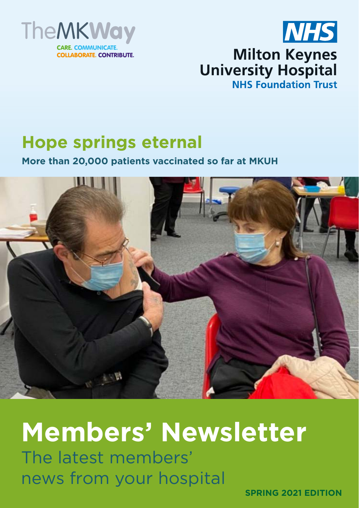



# **Hope springs eternal**

**More than 20,000 patients vaccinated so far at MKUH**



# **Members' Newsletter**

The latest members' news from your hospital

**SPRING 2021 EDITION**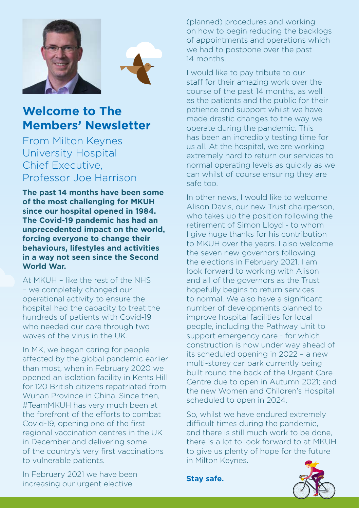



## **Welcome to The Members' Newsletter**

From Milton Keynes University Hospital Chief Executive, Professor Joe Harrison

**The past 14 months have been some of the most challenging for MKUH since our hospital opened in 1984. The Covid-19 pandemic has had an unprecedented impact on the world, forcing everyone to change their behaviours, lifestyles and activities in a way not seen since the Second World War.**

At MKUH – like the rest of the NHS – we completely changed our operational activity to ensure the hospital had the capacity to treat the hundreds of patients with Covid-19 who needed our care through two waves of the virus in the UK.

In MK, we began caring for people affected by the global pandemic earlier than most, when in February 2020 we opened an isolation facility in Kents Hill for 120 British citizens repatriated from Wuhan Province in China. Since then, #TeamMKUH has very much been at the forefront of the efforts to combat Covid-19, opening one of the first regional vaccination centres in the UK in December and delivering some of the country's very first vaccinations to vulnerable patients.

(planned) procedures and working on how to begin reducing the backlogs of appointments and operations which we had to postpone over the past 14 months.

I would like to pay tribute to our staff for their amazing work over the course of the past 14 months, as well as the patients and the public for their patience and support whilst we have made drastic changes to the way we operate during the pandemic. This has been an incredibly testing time for us all. At the hospital, we are working extremely hard to return our services to normal operating levels as quickly as we can whilst of course ensuring they are safe too.

In other news, I would like to welcome Alison Davis, our new Trust chairperson, who takes up the position following the retirement of Simon Lloyd - to whom I give huge thanks for his contribution to MKUH over the years. I also welcome the seven new governors following the elections in February 2021. I am look forward to working with Alison and all of the governors as the Trust hopefully begins to return services to normal. We also have a significant number of developments planned to improve hospital facilities for local people, including the Pathway Unit to support emergency care - for which construction is now under way ahead of its scheduled opening in 2022 – a new multi-storey car park currently being built round the back of the Urgent Care Centre due to open in Autumn 2021; and the new Women and Children's Hospital scheduled to open in 2024.

So, whilst we have endured extremely difficult times during the pandemic, and there is still much work to be done, there is a lot to look forward to at MKUH to give us plenty of hope for the future in Milton Keynes.

In February 2021 we have been increasing our urgent elective

**Stay safe.**

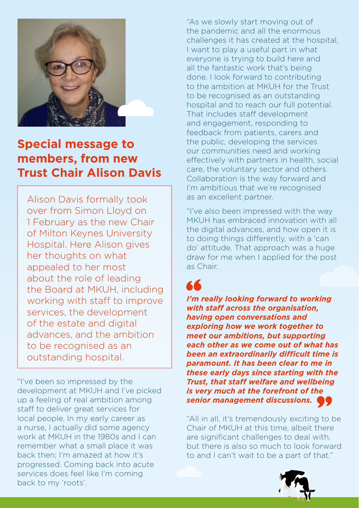

# **Special message to members, from new Trust Chair Alison Davis**

Alison Davis formally took over from Simon Lloyd on 1 February as the new Chair of Milton Keynes University Hospital. Here Alison gives her thoughts on what appealed to her most about the role of leading the Board at MKUH, including working with staff to improve services, the development of the estate and digital advances, and the ambition to be recognised as an outstanding hospital.

"I've been so impressed by the development at MKUH and I've picked up a feeling of real ambition among staff to deliver great services for local people. In my early career as a nurse, I actually did some agency work at MKUH in the 1980s and I can remember what a small place it was back then; I'm amazed at how it's progressed. Coming back into acute services does feel like I'm coming back to my 'roots'.

"As we slowly start moving out of the pandemic and all the enormous challenges it has created at the hospital, I want to play a useful part in what everyone is trying to build here and all the fantastic work that's being done. I look forward to contributing to the ambition at MKUH for the Trust to be recognised as an outstanding hospital and to reach our full potential. That includes staff development and engagement, responding to feedback from patients, carers and the public, developing the services our communities need and working effectively with partners in health, social care, the voluntary sector and others. Collaboration is the way forward and I'm ambitious that we're recognised as an excellent partner.

"I've also been impressed with the way MKUH has embraced innovation with all the digital advances, and how open it is to doing things differently, with a 'can do' attitude. That approach was a huge draw for me when I applied for the post as Chair.

# 66

*I'm really looking forward to working with staff across the organisation, having open conversations and exploring how we work together to meet our ambitions, but supporting each other as we come out of what has been an extraordinarily difficult time is paramount. It has been clear to me in these early days since starting with the Trust, that staff welfare and wellbeing is very much at the forefront of the senior management discussions.* 

"All in all, it's tremendously exciting to be Chair of MKUH at this time, albeit there are significant challenges to deal with, but there is also so much to look forward to and I can't wait to be a part of that."

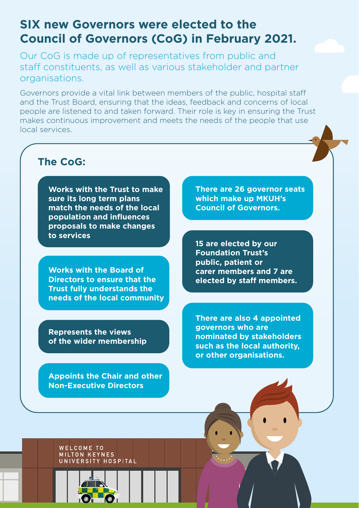### **SIX new Governors were elected to the Council of Governors (CoG) in February 2021.**

Our CoG is made up of representatives from public and staff constituents, as well as various stakeholder and partner organisations.

Governors provide a vital link between members of the public, hospital staff and the Trust Board, ensuring that the ideas, feedback and concerns of local people are listened to and taken forward. Their role is key in ensuring the Trust makes continuous improvement and meets the needs of the people that use local services.

#### **The CoG:**

**Works with the Trust to make sure its long term plans match the needs of the local population and influences proposals to make changes to services** 

**Works with the Board of Directors to ensure that the Trust fully understands the needs of the local community**

**Represents the views of the wider membership**

**Appoints the Chair and other Non-Executive Directors** 

**There are 26 governor seats which make up MKUH's Council of Governors.** 

**15 are elected by our Foundation Trust's public, patient or carer members and 7 are elected by staff members.** 

**There are also 4 appointed governors who are nominated by stakeholders such as the local authority, or other organisations.** 

WELCOME TO MEECOME TO<br>MILTON KEYNES<br>UNIVERSITY HOSPITAL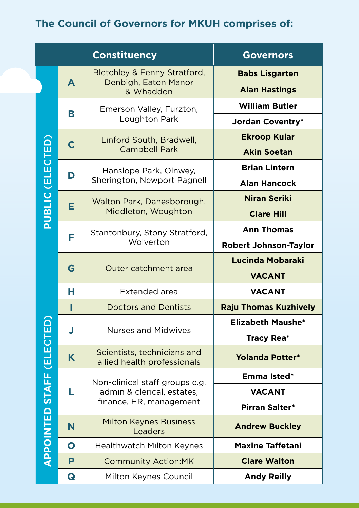## **The Council of Governors for MKUH comprises of:**

| <b>Constituency</b>       |           |                                                                                         | <b>Governors</b>             |
|---------------------------|-----------|-----------------------------------------------------------------------------------------|------------------------------|
|                           | A         | Bletchley & Fenny Stratford,<br>Denbigh, Eaton Manor<br>& Whaddon                       | <b>Babs Lisgarten</b>        |
|                           |           |                                                                                         | <b>Alan Hastings</b>         |
| <b>PUBLIC (ELECTED)</b>   | В         | Emerson Valley, Furzton,<br>Loughton Park                                               | <b>William Butler</b>        |
|                           |           |                                                                                         | <b>Jordan Coventry*</b>      |
|                           | C         | Linford South, Bradwell,<br><b>Campbell Park</b>                                        | <b>Ekroop Kular</b>          |
|                           |           |                                                                                         | <b>Akin Soetan</b>           |
|                           | D         | Hanslope Park, Olnwey,<br>Sherington, Newport Pagnell                                   | <b>Brian Lintern</b>         |
|                           |           |                                                                                         | <b>Alan Hancock</b>          |
|                           | Е         | Walton Park, Danesborough,<br>Middleton, Woughton                                       | <b>Niran Seriki</b>          |
|                           |           |                                                                                         | <b>Clare Hill</b>            |
|                           | F         | Stantonbury, Stony Stratford,<br>Wolverton                                              | <b>Ann Thomas</b>            |
|                           |           |                                                                                         | <b>Robert Johnson-Taylor</b> |
|                           | G         | Outer catchment area                                                                    | <b>Lucinda Mobaraki</b>      |
|                           |           |                                                                                         | <b>VACANT</b>                |
|                           | н         | Extended area                                                                           | <b>VACANT</b>                |
| APPOINTED STAFF (ELECTED) | L         | <b>Doctors and Dentists</b>                                                             | <b>Raju Thomas Kuzhively</b> |
|                           | J         | <b>Nurses and Midwives</b>                                                              | <b>Elizabeth Maushe*</b>     |
|                           |           |                                                                                         | <b>Tracy Rea*</b>            |
|                           | K         | Scientists, technicians and<br>allied health professionals                              | <b>Yolanda Potter*</b>       |
|                           | L         | Non-clinical staff groups e.g.<br>admin & clerical, estates,<br>finance, HR, management | Emma Isted*                  |
|                           |           |                                                                                         | <b>VACANT</b>                |
|                           |           |                                                                                         | Pirran Salter*               |
|                           | N         | <b>Milton Keynes Business</b><br>Leaders                                                | <b>Andrew Buckley</b>        |
|                           | $\bullet$ | <b>Healthwatch Milton Keynes</b>                                                        | <b>Maxine Taffetani</b>      |
|                           | P         | <b>Community Action:MK</b>                                                              | <b>Clare Walton</b>          |
|                           | Q         | Milton Keynes Council                                                                   | <b>Andy Reilly</b>           |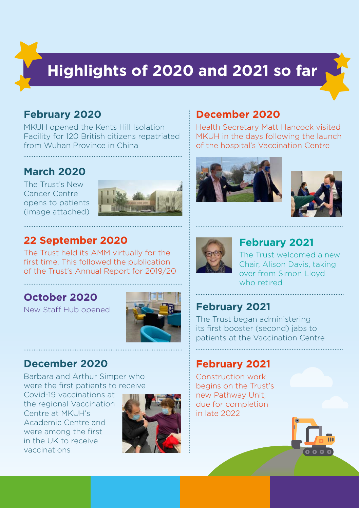# **Highlights of 2020 and 2021 so far**

#### **February 2020**

MKUH opened the Kents Hill Isolation Facility for 120 British citizens repatriated from Wuhan Province in China

#### **March 2020**

The Trust's New Cancer Centre opens to patients (image attached)



#### **22 September 2020**

The Trust held its AMM virtually for the first time. This followed the publication of the Trust's Annual Report for 2019/20

#### **October 2020**

New Staff Hub opened



#### **December 2020**

Barbara and Arthur Simper who were the first patients to receive

Covid-19 vaccinations at the regional Vaccination Centre at MKUH's Academic Centre and were among the first in the UK to receive vaccinations



#### **December 2020**

Health Secretary Matt Hancock visited MKUH in the days following the launch of the hospital's Vaccination Centre







#### **February 2021**

The Trust welcomed a new Chair, Alison Davis, taking over from Simon Lloyd who retired

#### **February 2021**

The Trust began administering its first booster (second) jabs to patients at the Vaccination Centre

#### **February 2021**

Construction work begins on the Trust's new Pathway Unit, due for completion in late 2022

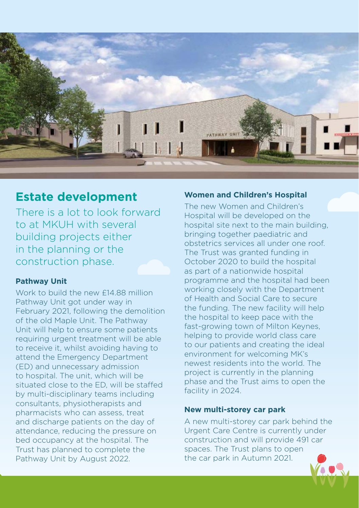

#### **Estate development**

There is a lot to look forward to at MKUH with several building projects either in the planning or the construction phase.

#### **Pathway Unit**

Work to build the new £14.88 million Pathway Unit got under way in February 2021, following the demolition of the old Maple Unit. The Pathway Unit will help to ensure some patients requiring urgent treatment will be able to receive it, whilst avoiding having to attend the Emergency Department (ED) and unnecessary admission to hospital. The unit, which will be situated close to the ED, will be staffed by multi-disciplinary teams including consultants, physiotherapists and pharmacists who can assess, treat and discharge patients on the day of attendance, reducing the pressure on bed occupancy at the hospital. The Trust has planned to complete the Pathway Unit by August 2022.

#### **Women and Children's Hospital**

The new Women and Children's Hospital will be developed on the hospital site next to the main building, bringing together paediatric and obstetrics services all under one roof. The Trust was granted funding in October 2020 to build the hospital as part of a nationwide hospital programme and the hospital had been working closely with the Department of Health and Social Care to secure the funding. The new facility will help the hospital to keep pace with the fast-growing town of Milton Keynes. helping to provide world class care to our patients and creating the ideal environment for welcoming MK's newest residents into the world. The project is currently in the planning phase and the Trust aims to open the facility in 2024.

#### **New multi-storey car park**

A new multi-storey car park behind the Urgent Care Centre is currently under construction and will provide 491 car spaces. The Trust plans to open the car park in Autumn 2021.